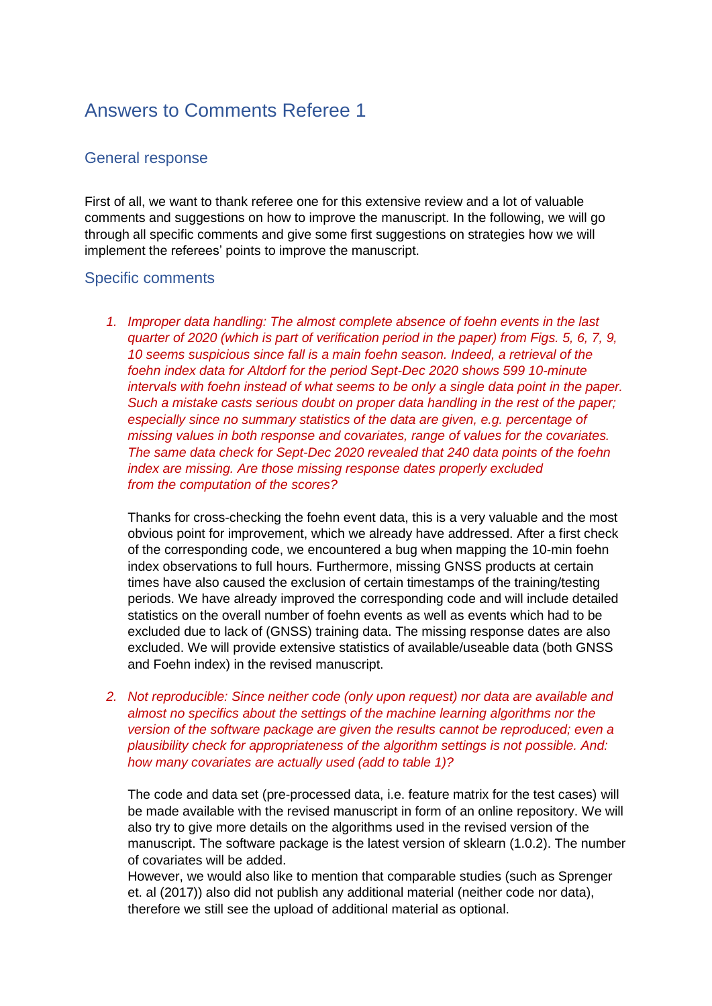# Answers to Comments Referee 1

## General response

First of all, we want to thank referee one for this extensive review and a lot of valuable comments and suggestions on how to improve the manuscript. In the following, we will go through all specific comments and give some first suggestions on strategies how we will implement the referees' points to improve the manuscript.

#### Specific comments

*1. Improper data handling: The almost complete absence of foehn events in the last quarter of 2020 (which is part of verification period in the paper) from Figs. 5, 6, 7, 9, 10 seems suspicious since fall is a main foehn season. Indeed, a retrieval of the foehn index data for Altdorf for the period Sept-Dec 2020 shows 599 10-minute intervals with foehn instead of what seems to be only a single data point in the paper. Such a mistake casts serious doubt on proper data handling in the rest of the paper; especially since no summary statistics of the data are given, e.g. percentage of missing values in both response and covariates, range of values for the covariates. The same data check for Sept-Dec 2020 revealed that 240 data points of the foehn index are missing. Are those missing response dates properly excluded from the computation of the scores?*

Thanks for cross-checking the foehn event data, this is a very valuable and the most obvious point for improvement, which we already have addressed. After a first check of the corresponding code, we encountered a bug when mapping the 10-min foehn index observations to full hours. Furthermore, missing GNSS products at certain times have also caused the exclusion of certain timestamps of the training/testing periods. We have already improved the corresponding code and will include detailed statistics on the overall number of foehn events as well as events which had to be excluded due to lack of (GNSS) training data. The missing response dates are also excluded. We will provide extensive statistics of available/useable data (both GNSS and Foehn index) in the revised manuscript.

*2. Not reproducible: Since neither code (only upon request) nor data are available and almost no specifics about the settings of the machine learning algorithms nor the version of the software package are given the results cannot be reproduced; even a plausibility check for appropriateness of the algorithm settings is not possible. And: how many covariates are actually used (add to table 1)?*

The code and data set (pre-processed data, i.e. feature matrix for the test cases) will be made available with the revised manuscript in form of an online repository. We will also try to give more details on the algorithms used in the revised version of the manuscript. The software package is the latest version of sklearn (1.0.2). The number of covariates will be added.

However, we would also like to mention that comparable studies (such as Sprenger et. al (2017)) also did not publish any additional material (neither code nor data), therefore we still see the upload of additional material as optional.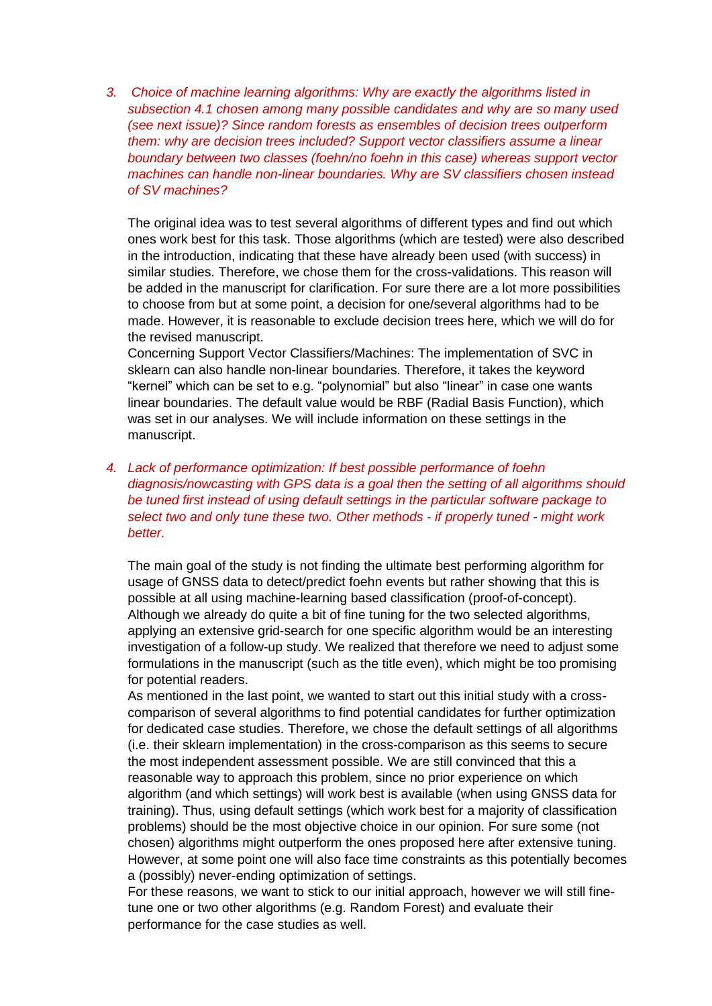*3. Choice of machine learning algorithms: Why are exactly the algorithms listed in subsection 4.1 chosen among many possible candidates and why are so many used (see next issue)? Since random forests as ensembles of decision trees outperform them: why are decision trees included? Support vector classifiers assume a linear boundary between two classes (foehn/no foehn in this case) whereas support vector machines can handle non-linear boundaries. Why are SV classifiers chosen instead of SV machines?* 

The original idea was to test several algorithms of different types and find out which ones work best for this task. Those algorithms (which are tested) were also described in the introduction, indicating that these have already been used (with success) in similar studies. Therefore, we chose them for the cross-validations. This reason will be added in the manuscript for clarification. For sure there are a lot more possibilities to choose from but at some point, a decision for one/several algorithms had to be made. However, it is reasonable to exclude decision trees here, which we will do for the revised manuscript.

Concerning Support Vector Classifiers/Machines: The implementation of SVC in sklearn can also handle non-linear boundaries. Therefore, it takes the keyword "kernel" which can be set to e.g. "polynomial" but also "linear" in case one wants linear boundaries. The default value would be RBF (Radial Basis Function), which was set in our analyses. We will include information on these settings in the manuscript.

*4. Lack of performance optimization: If best possible performance of foehn diagnosis/nowcasting with GPS data is a goal then the setting of all algorithms should be tuned first instead of using default settings in the particular software package to select two and only tune these two. Other methods - if properly tuned - might work better.*

The main goal of the study is not finding the ultimate best performing algorithm for usage of GNSS data to detect/predict foehn events but rather showing that this is possible at all using machine-learning based classification (proof-of-concept). Although we already do quite a bit of fine tuning for the two selected algorithms, applying an extensive grid-search for one specific algorithm would be an interesting investigation of a follow-up study. We realized that therefore we need to adjust some formulations in the manuscript (such as the title even), which might be too promising for potential readers.

As mentioned in the last point, we wanted to start out this initial study with a crosscomparison of several algorithms to find potential candidates for further optimization for dedicated case studies. Therefore, we chose the default settings of all algorithms (i.e. their sklearn implementation) in the cross-comparison as this seems to secure the most independent assessment possible. We are still convinced that this a reasonable way to approach this problem, since no prior experience on which algorithm (and which settings) will work best is available (when using GNSS data for training). Thus, using default settings (which work best for a majority of classification problems) should be the most objective choice in our opinion. For sure some (not chosen) algorithms might outperform the ones proposed here after extensive tuning. However, at some point one will also face time constraints as this potentially becomes a (possibly) never-ending optimization of settings.

For these reasons, we want to stick to our initial approach, however we will still finetune one or two other algorithms (e.g. Random Forest) and evaluate their performance for the case studies as well.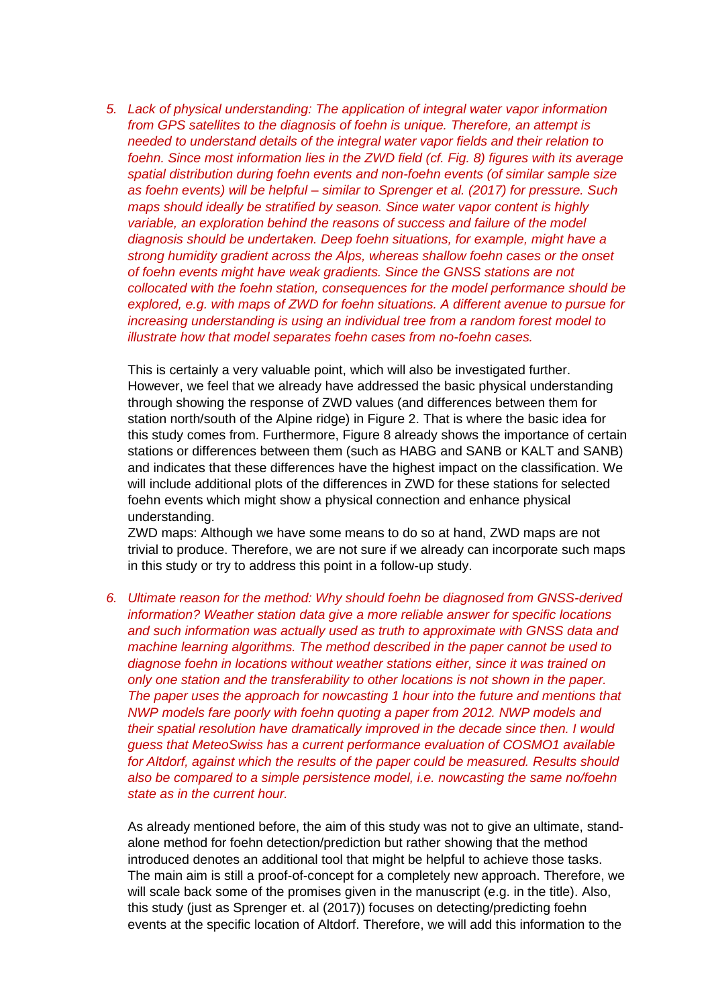*5. Lack of physical understanding: The application of integral water vapor information from GPS satellites to the diagnosis of foehn is unique. Therefore, an attempt is needed to understand details of the integral water vapor fields and their relation to foehn. Since most information lies in the ZWD field (cf. Fig. 8) figures with its average spatial distribution during foehn events and non-foehn events (of similar sample size as foehn events) will be helpful – similar to Sprenger et al. (2017) for pressure. Such maps should ideally be stratified by season. Since water vapor content is highly variable, an exploration behind the reasons of success and failure of the model diagnosis should be undertaken. Deep foehn situations, for example, might have a strong humidity gradient across the Alps, whereas shallow foehn cases or the onset of foehn events might have weak gradients. Since the GNSS stations are not collocated with the foehn station, consequences for the model performance should be explored, e.g. with maps of ZWD for foehn situations. A different avenue to pursue for increasing understanding is using an individual tree from a random forest model to illustrate how that model separates foehn cases from no-foehn cases.*

This is certainly a very valuable point, which will also be investigated further. However, we feel that we already have addressed the basic physical understanding through showing the response of ZWD values (and differences between them for station north/south of the Alpine ridge) in Figure 2. That is where the basic idea for this study comes from. Furthermore, Figure 8 already shows the importance of certain stations or differences between them (such as HABG and SANB or KALT and SANB) and indicates that these differences have the highest impact on the classification. We will include additional plots of the differences in ZWD for these stations for selected foehn events which might show a physical connection and enhance physical understanding.

ZWD maps: Although we have some means to do so at hand, ZWD maps are not trivial to produce. Therefore, we are not sure if we already can incorporate such maps in this study or try to address this point in a follow-up study.

*6. Ultimate reason for the method: Why should foehn be diagnosed from GNSS-derived information? Weather station data give a more reliable answer for specific locations and such information was actually used as truth to approximate with GNSS data and machine learning algorithms. The method described in the paper cannot be used to diagnose foehn in locations without weather stations either, since it was trained on only one station and the transferability to other locations is not shown in the paper. The paper uses the approach for nowcasting 1 hour into the future and mentions that NWP models fare poorly with foehn quoting a paper from 2012. NWP models and their spatial resolution have dramatically improved in the decade since then. I would guess that MeteoSwiss has a current performance evaluation of COSMO1 available for Altdorf, against which the results of the paper could be measured. Results should also be compared to a simple persistence model, i.e. nowcasting the same no/foehn state as in the current hour.*

As already mentioned before, the aim of this study was not to give an ultimate, standalone method for foehn detection/prediction but rather showing that the method introduced denotes an additional tool that might be helpful to achieve those tasks. The main aim is still a proof-of-concept for a completely new approach. Therefore, we will scale back some of the promises given in the manuscript (e.g. in the title). Also, this study (just as Sprenger et. al (2017)) focuses on detecting/predicting foehn events at the specific location of Altdorf. Therefore, we will add this information to the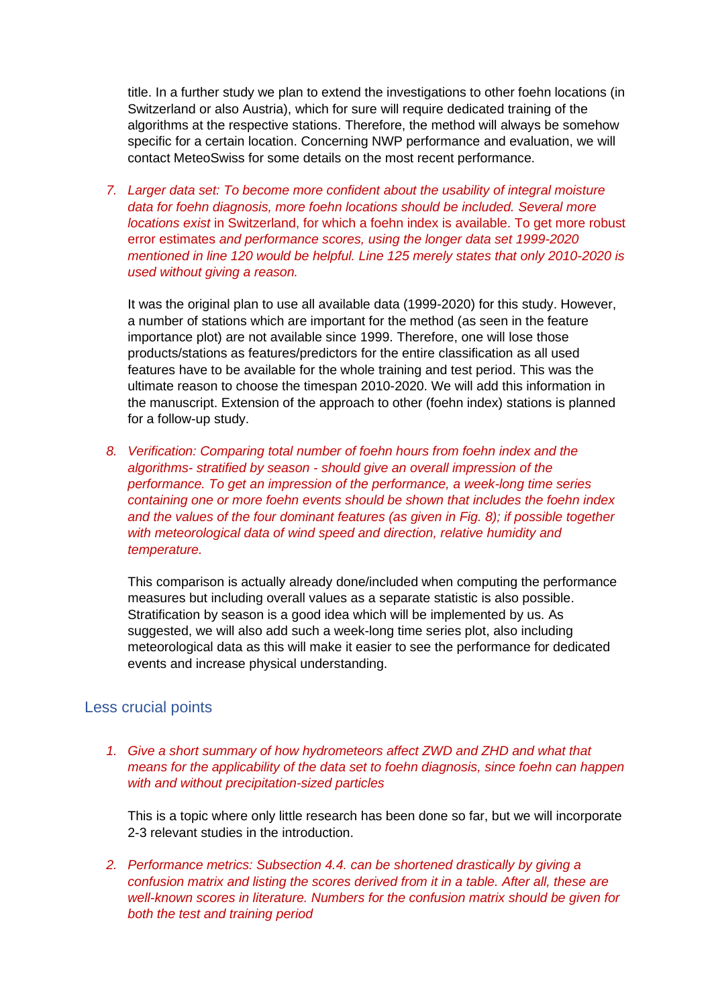title. In a further study we plan to extend the investigations to other foehn locations (in Switzerland or also Austria), which for sure will require dedicated training of the algorithms at the respective stations. Therefore, the method will always be somehow specific for a certain location. Concerning NWP performance and evaluation, we will contact MeteoSwiss for some details on the most recent performance.

*7. Larger data set: To become more confident about the usability of integral moisture data for foehn diagnosis, more foehn locations should be included. Several more locations exist* in Switzerland, for which a foehn index is available. To get more robust error estimates *and performance scores, using the longer data set 1999-2020 mentioned in line 120 would be helpful. Line 125 merely states that only 2010-2020 is used without giving a reason.*

It was the original plan to use all available data (1999-2020) for this study. However, a number of stations which are important for the method (as seen in the feature importance plot) are not available since 1999. Therefore, one will lose those products/stations as features/predictors for the entire classification as all used features have to be available for the whole training and test period. This was the ultimate reason to choose the timespan 2010-2020. We will add this information in the manuscript. Extension of the approach to other (foehn index) stations is planned for a follow-up study.

*8. Verification: Comparing total number of foehn hours from foehn index and the algorithms- stratified by season - should give an overall impression of the performance. To get an impression of the performance, a week-long time series containing one or more foehn events should be shown that includes the foehn index and the values of the four dominant features (as given in Fig. 8); if possible together with meteorological data of wind speed and direction, relative humidity and temperature.*

This comparison is actually already done/included when computing the performance measures but including overall values as a separate statistic is also possible. Stratification by season is a good idea which will be implemented by us. As suggested, we will also add such a week-long time series plot, also including meteorological data as this will make it easier to see the performance for dedicated events and increase physical understanding.

### Less crucial points

*1. Give a short summary of how hydrometeors affect ZWD and ZHD and what that means for the applicability of the data set to foehn diagnosis, since foehn can happen with and without precipitation-sized particles*

This is a topic where only little research has been done so far, but we will incorporate 2-3 relevant studies in the introduction.

*2. Performance metrics: Subsection 4.4. can be shortened drastically by giving a confusion matrix and listing the scores derived from it in a table. After all, these are well-known scores in literature. Numbers for the confusion matrix should be given for both the test and training period*